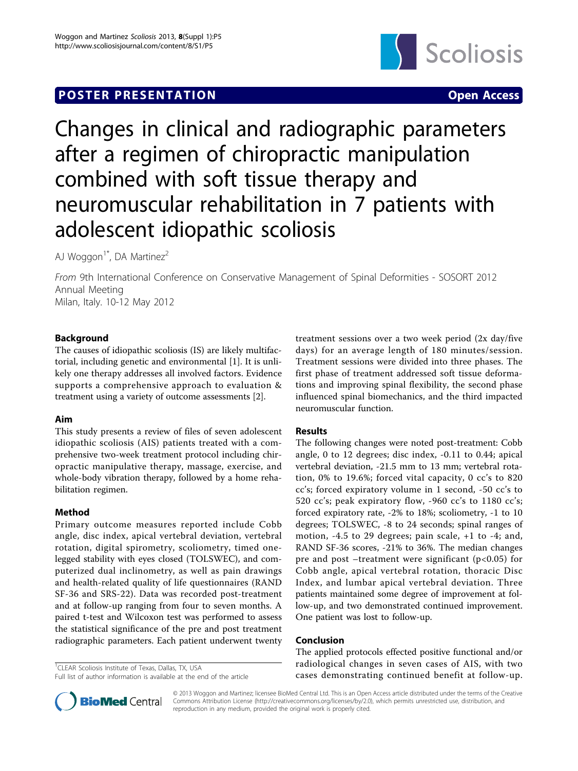# **POSTER PRESENTATION CONSUMING THE SERVICE OPEN ACCESS**



# Changes in clinical and radiographic parameters after a regimen of chiropractic manipulation combined with soft tissue therapy and neuromuscular rehabilitation in 7 patients with adolescent idiopathic scoliosis

AJ Woggon<sup>1\*</sup>, DA Martinez<sup>2</sup>

From 9th International Conference on Conservative Management of Spinal Deformities - SOSORT 2012 Annual Meeting Milan, Italy. 10-12 May 2012

# Background

The causes of idiopathic scoliosis (IS) are likely multifactorial, including genetic and environmental [[1](#page-1-0)]. It is unlikely one therapy addresses all involved factors. Evidence supports a comprehensive approach to evaluation & treatment using a variety of outcome assessments [[2\]](#page-1-0).

## Aim

This study presents a review of files of seven adolescent idiopathic scoliosis (AIS) patients treated with a comprehensive two-week treatment protocol including chiropractic manipulative therapy, massage, exercise, and whole-body vibration therapy, followed by a home rehabilitation regimen.

## Method

Primary outcome measures reported include Cobb angle, disc index, apical vertebral deviation, vertebral rotation, digital spirometry, scoliometry, timed onelegged stability with eyes closed (TOLSWEC), and computerized dual inclinometry, as well as pain drawings and health-related quality of life questionnaires (RAND SF-36 and SRS-22). Data was recorded post-treatment and at follow-up ranging from four to seven months. A paired t-test and Wilcoxon test was performed to assess the statistical significance of the pre and post treatment radiographic parameters. Each patient underwent twenty

<sup>1</sup>CLEAR Scoliosis Institute of Texas, Dallas, TX, USA

treatment sessions over a two week period (2x day/five days) for an average length of 180 minutes/session. Treatment sessions were divided into three phases. The first phase of treatment addressed soft tissue deformations and improving spinal flexibility, the second phase influenced spinal biomechanics, and the third impacted neuromuscular function.

## Results

The following changes were noted post-treatment: Cobb angle, 0 to 12 degrees; disc index, -0.11 to 0.44; apical vertebral deviation, -21.5 mm to 13 mm; vertebral rotation, 0% to 19.6%; forced vital capacity, 0 cc's to 820 cc's; forced expiratory volume in 1 second, -50 cc's to 520 cc's; peak expiratory flow, -960 cc's to 1180 cc's; forced expiratory rate, -2% to 18%; scoliometry, -1 to 10 degrees; TOLSWEC, -8 to 24 seconds; spinal ranges of motion, -4.5 to 29 degrees; pain scale, +1 to -4; and, RAND SF-36 scores, -21% to 36%. The median changes pre and post –treatment were significant ( $p<0.05$ ) for Cobb angle, apical vertebral rotation, thoracic Disc Index, and lumbar apical vertebral deviation. Three patients maintained some degree of improvement at follow-up, and two demonstrated continued improvement. One patient was lost to follow-up.

## Conclusion

The applied protocols effected positive functional and/or radiological changes in seven cases of AIS, with two cases demonstrating continued benefit at follow-up.



© 2013 Woggon and Martinez; licensee BioMed Central Ltd. This is an Open Access article distributed under the terms of the Creative Commons Attribution License [\(http://creativecommons.org/licenses/by/2.0](http://creativecommons.org/licenses/by/2.0)), which permits unrestricted use, distribution, and reproduction in any medium, provided the original work is properly cited.

Full list of author information is available at the end of the article